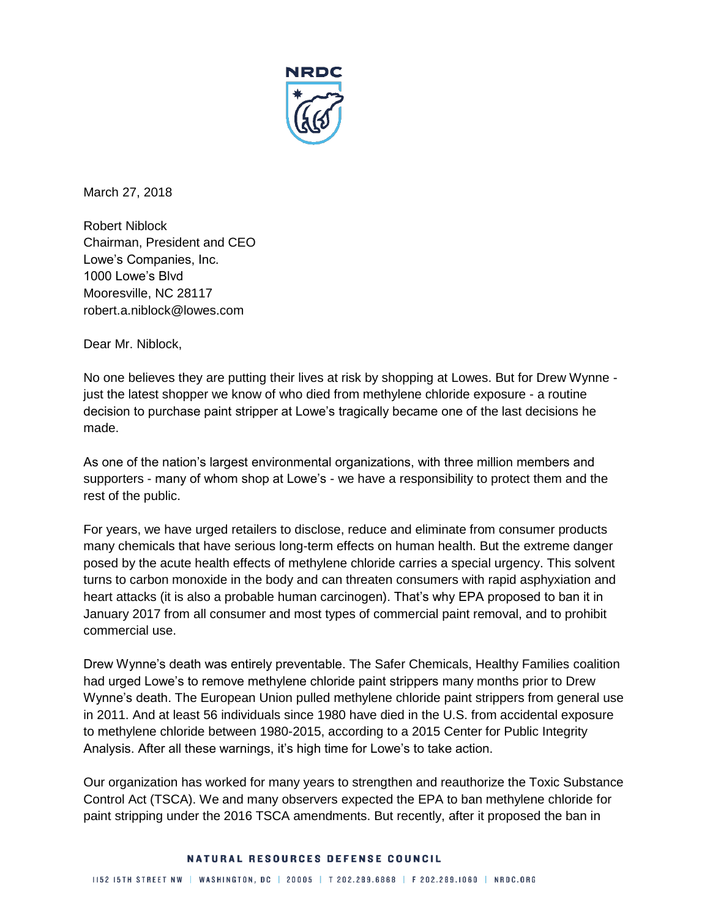

March 27, 2018

Robert Niblock Chairman, President and CEO Lowe's Companies, Inc. 1000 Lowe's Blvd Mooresville, NC 28117 robert.a.niblock@lowes.com

Dear Mr. Niblock,

No one believes they are putting their lives at risk by shopping at Lowes. But for Drew Wynne just the latest shopper we know of who died from methylene chloride exposure - a routine decision to purchase paint stripper at Lowe's tragically became one of the last decisions he made.

As one of the nation's largest environmental organizations, with three million members and supporters - many of whom shop at Lowe's - we have a responsibility to protect them and the rest of the public.

For years, we have urged retailers to disclose, reduce and eliminate from consumer products many chemicals that have serious long-term effects on human health. But the extreme danger posed by the acute health effects of methylene chloride carries a special urgency. This solvent turns to carbon monoxide in the body and can threaten consumers with rapid asphyxiation and heart attacks (it is also a probable human carcinogen). That's why EPA proposed to ban it in January 2017 from all consumer and most types of commercial paint removal, and to prohibit commercial use.

Drew Wynne's death was entirely preventable. The Safer Chemicals, Healthy Families coalition had urged Lowe's to remove methylene chloride paint strippers many months prior to Drew Wynne's death. The European Union pulled methylene chloride paint strippers from general use in 2011. And at least 56 individuals since 1980 have died in the U.S. from accidental exposure to methylene chloride between 1980-2015, according to a 2015 Center for Public Integrity Analysis. After all these warnings, it's high time for Lowe's to take action.

Our organization has worked for many years to strengthen and reauthorize the Toxic Substance Control Act (TSCA). We and many observers expected the EPA to ban methylene chloride for paint stripping under the 2016 TSCA amendments. But recently, after it proposed the ban in

## NATURAL RESOURCES DEFENSE COUNCIL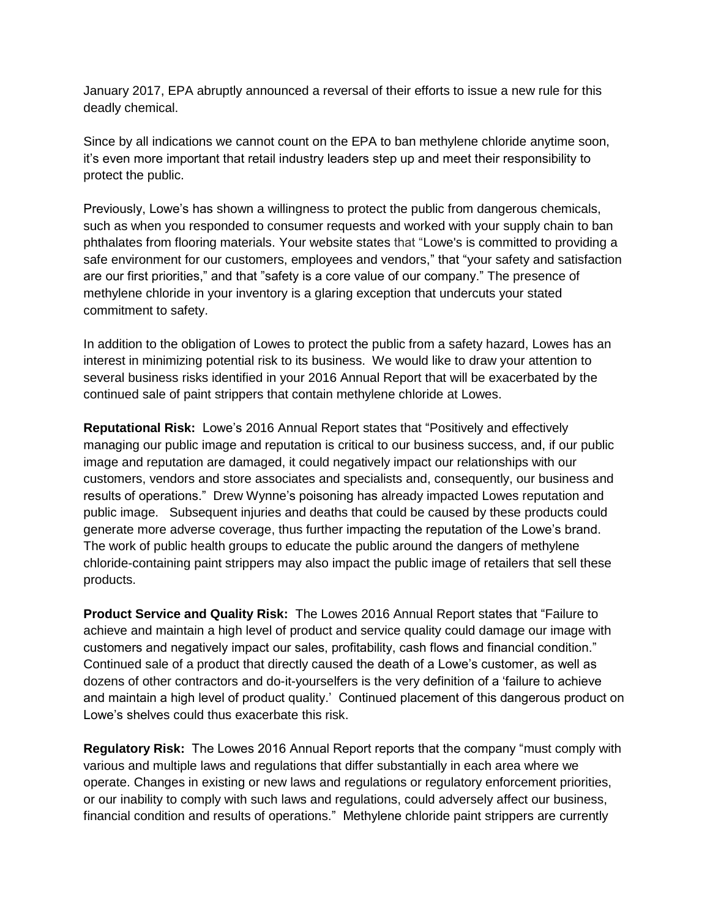January 2017, EPA abruptly announced a reversal of their efforts to issue a new rule for this deadly chemical.

Since by all indications we cannot count on the EPA to ban methylene chloride anytime soon, it's even more important that retail industry leaders step up and meet their responsibility to protect the public.

Previously, Lowe's has shown a willingness to protect the public from dangerous chemicals, such as when you responded to consumer requests and worked with your supply chain to ban phthalates from flooring materials. Your website states that "Lowe's is committed to providing a safe environment for our customers, employees and vendors," that "your safety and satisfaction are our first priorities," and that "safety is a core value of our company." The presence of methylene chloride in your inventory is a glaring exception that undercuts your stated commitment to safety.

In addition to the obligation of Lowes to protect the public from a safety hazard, Lowes has an interest in minimizing potential risk to its business. We would like to draw your attention to several business risks identified in your 2016 Annual Report that will be exacerbated by the continued sale of paint strippers that contain methylene chloride at Lowes.

**Reputational Risk:** Lowe's 2016 Annual Report states that "Positively and effectively managing our public image and reputation is critical to our business success, and, if our public image and reputation are damaged, it could negatively impact our relationships with our customers, vendors and store associates and specialists and, consequently, our business and results of operations." Drew Wynne's poisoning has already impacted Lowes reputation and public image. Subsequent injuries and deaths that could be caused by these products could generate more adverse coverage, thus further impacting the reputation of the Lowe's brand. The work of public health groups to educate the public around the dangers of methylene chloride-containing paint strippers may also impact the public image of retailers that sell these products.

**Product Service and Quality Risk:** The Lowes 2016 Annual Report states that "Failure to achieve and maintain a high level of product and service quality could damage our image with customers and negatively impact our sales, profitability, cash flows and financial condition." Continued sale of a product that directly caused the death of a Lowe's customer, as well as dozens of other contractors and do-it-yourselfers is the very definition of a 'failure to achieve and maintain a high level of product quality.' Continued placement of this dangerous product on Lowe's shelves could thus exacerbate this risk.

**Regulatory Risk:** The Lowes 2016 Annual Report reports that the company "must comply with various and multiple laws and regulations that differ substantially in each area where we operate. Changes in existing or new laws and regulations or regulatory enforcement priorities, or our inability to comply with such laws and regulations, could adversely affect our business, financial condition and results of operations." Methylene chloride paint strippers are currently